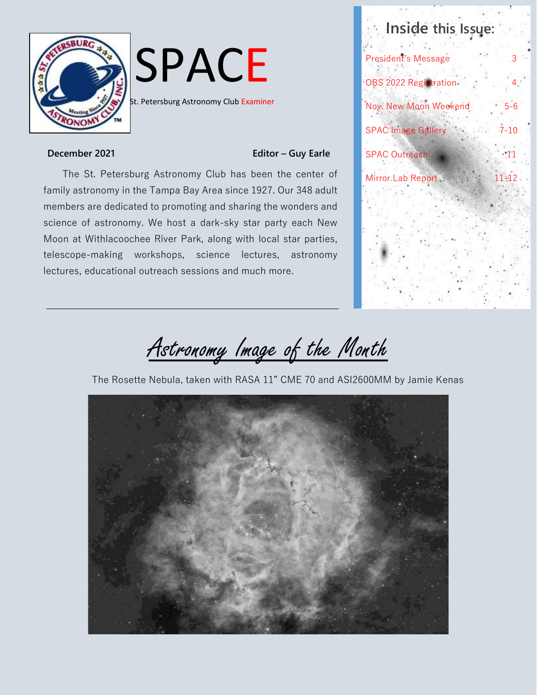

# SPACE

**St. Petersburg Astronomy Club Examiner** 

### **December** 2021 **Editor - Guy Earle**

The St. Petersburg Astronomy Club has been the center of family astronomy in the Tampa Bay Area since 1927. Our 348 adult members are dedicated to promoting and sharing the wonders and science of astronomy. We host a dark-sky star party each New Moon at Withlacoochee River Park, along with local star parties, telescope-making workshops, science lectures, astronomy lectures, educational outreach sessions and much more.



Astronomy Image of the Month

The Rosette Nebula, taken with RASA 11" CME 70 and ASI2600MM by Jamie Kenas

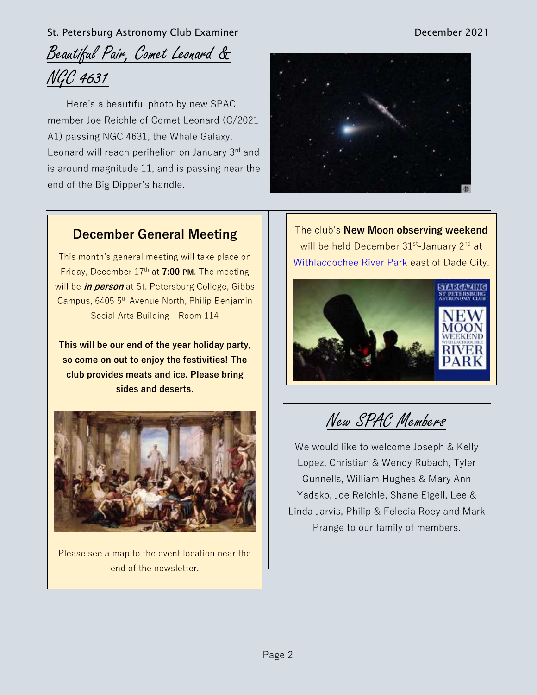# Beautiful Pair, Comet Leonard & NGC 4631

Here's a beautiful photo by new SPAC member Joe Reichle of Comet Leonard (C/2021 A1) passing NGC 4631, the Whale Galaxy. Leonard will reach perihelion on January  $3<sup>rd</sup>$  and is around magnitude 11, and is passing near the end of the Big Dipper's handle.



### **December General Meeting**

This month's general meeting will take place on Friday, December 17th at **7:00 PM**. The meeting will be **in person** at St. Petersburg College, Gibbs Campus, 6405 5th Avenue North, Philip Benjamin Social Arts Building - Room 114

**This will be our end of the year holiday party, so come on out to enjoy the festivities! The club provides meats and ice. Please bring sides and deserts.**



Please see a map to the event location near the end of the newsletter.

The club's **New Moon observing weekend** will be held December 31<sup>st</sup>-January 2<sup>nd</sup> at Withlacoochee River Park east of Dade City.



New SPAC Members

We would like to welcome Joseph & Kelly Lopez, Christian & Wendy Rubach, Tyler Gunnells, William Hughes & Mary Ann Yadsko, Joe Reichle, Shane Eigell, Lee & Linda Jarvis, Philip & Felecia Roey and Mark Prange to our family of members.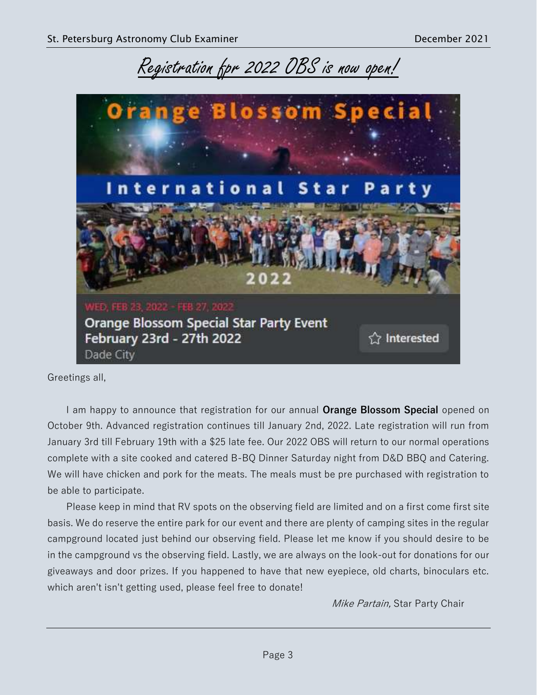Registration fpr 2022 OBS is now open!



Greetings all,

I am happy to announce that registration for our annual **Orange Blossom Special** opened on October 9th. Advanced registration continues till January 2nd, 2022. Late registration will run from January 3rd till February 19th with a \$25 late fee. Our 2022 OBS will return to our normal operations complete with a site cooked and catered B-BQ Dinner Saturday night from D&D BBQ and Catering. We will have chicken and pork for the meats. The meals must be pre purchased with registration to be able to participate.

Please keep in mind that RV spots on the observing field are limited and on a first come first site basis. We do reserve the entire park for our event and there are plenty of camping sites in the regular campground located just behind our observing field. Please let me know if you should desire to be in the campground vs the observing field. Lastly, we are always on the look-out for donations for our giveaways and door prizes. If you happened to have that new eyepiece, old charts, binoculars etc. which aren't isn't getting used, please feel free to donate!

Mike Partain, Star Party Chair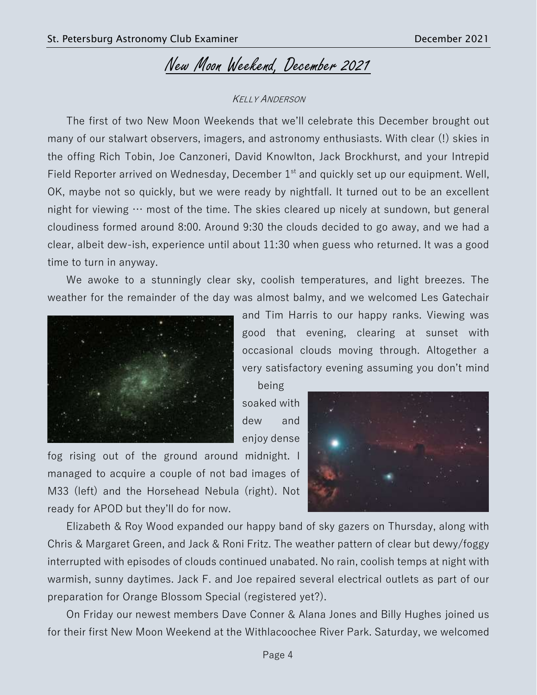# New Moon Weekend, December 2021

### KELLY ANDERSON

The first of two New Moon Weekends that we'll celebrate this December brought out many of our stalwart observers, imagers, and astronomy enthusiasts. With clear (!) skies in the offing Rich Tobin, Joe Canzoneri, David Knowlton, Jack Brockhurst, and your Intrepid Field Reporter arrived on Wednesday, December  $1<sup>st</sup>$  and quickly set up our equipment. Well, OK, maybe not so quickly, but we were ready by nightfall. It turned out to be an excellent night for viewing  $\cdots$  most of the time. The skies cleared up nicely at sundown, but general cloudiness formed around 8:00. Around 9:30 the clouds decided to go away, and we had a clear, albeit dew-ish, experience until about 11:30 when guess who returned. It was a good time to turn in anyway.

We awoke to a stunningly clear sky, coolish temperatures, and light breezes. The weather for the remainder of the day was almost balmy, and we welcomed Les Gatechair



and Tim Harris to our happy ranks. Viewing was good that evening, clearing at sunset with occasional clouds moving through. Altogether a very satisfactory evening assuming you don't mind

being soaked with dew and enjoy dense

fog rising out of the ground around midnight. I managed to acquire a couple of not bad images of M33 (left) and the Horsehead Nebula (right). Not ready for APOD but they'll do for now.



Elizabeth & Roy Wood expanded our happy band of sky gazers on Thursday, along with Chris & Margaret Green, and Jack & Roni Fritz. The weather pattern of clear but dewy/foggy interrupted with episodes of clouds continued unabated. No rain, coolish temps at night with warmish, sunny daytimes. Jack F. and Joe repaired several electrical outlets as part of our preparation for Orange Blossom Special (registered yet?).

On Friday our newest members Dave Conner & Alana Jones and Billy Hughes joined us for their first New Moon Weekend at the Withlacoochee River Park. Saturday, we welcomed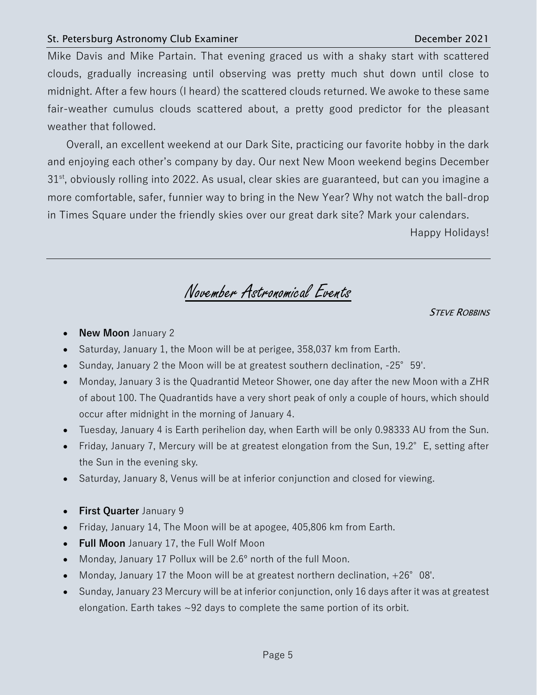### St. Petersburg Astronomy Club Examiner **December 2021**

Mike Davis and Mike Partain. That evening graced us with a shaky start with scattered clouds, gradually increasing until observing was pretty much shut down until close to midnight. After a few hours (I heard) the scattered clouds returned. We awoke to these same fair-weather cumulus clouds scattered about, a pretty good predictor for the pleasant weather that followed.

Overall, an excellent weekend at our Dark Site, practicing our favorite hobby in the dark and enjoying each other's company by day. Our next New Moon weekend begins December  $31<sup>st</sup>$ , obviously rolling into 2022. As usual, clear skies are guaranteed, but can you imagine a more comfortable, safer, funnier way to bring in the New Year? Why not watch the ball-drop in Times Square under the friendly skies over our great dark site? Mark your calendars.

Happy Holidays!

November Astronomical Events

**STEVE ROBBINS** 

- **New Moon** January 2
- Saturday, January 1, the Moon will be at perigee, 358,037 km from Earth.
- Sunday, January 2 the Moon will be at greatest southern declination, -25°59'.
- Monday, January 3 is the Quadrantid Meteor Shower, one day after the new Moon with a ZHR of about 100. The Quadrantids have a very short peak of only a couple of hours, which should occur after midnight in the morning of January 4.
- Tuesday, January 4 is Earth perihelion day, when Earth will be only 0.98333 AU from the Sun.
- Friday, January 7, Mercury will be at greatest elongation from the Sun, 19.2° E, setting after the Sun in the evening sky.
- Saturday, January 8, Venus will be at inferior conjunction and closed for viewing.
- **First Quarter** January 9
- Friday, January 14, The Moon will be at apogee, 405,806 km from Earth.
- **Full Moon** January 17, the Full Wolf Moon
- Monday, January 17 Pollux will be 2.6º north of the full Moon.
- Monday, January 17 the Moon will be at greatest northern declination, +26° 08'.
- Sunday, January 23 Mercury will be at inferior conjunction, only 16 days after it was at greatest elongation. Earth takes ~92 days to complete the same portion of its orbit.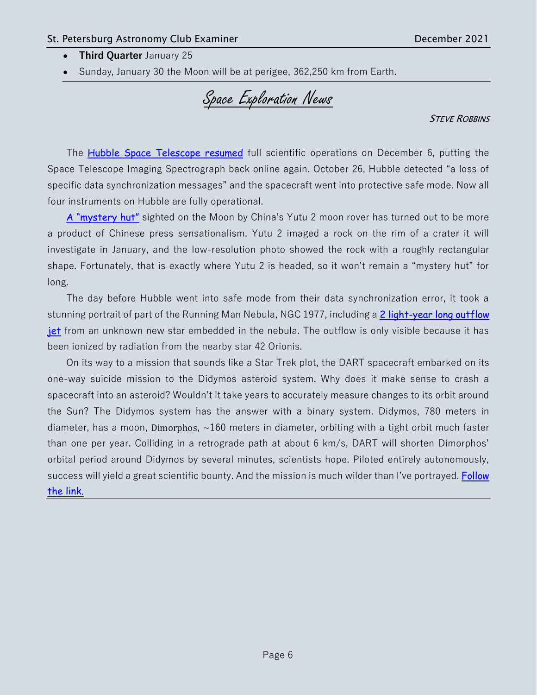- **Third Quarter** January 25
- Sunday, January 30 the Moon will be at perigee, 362,250 km from Earth.

Space Exploration News

**STEVE ROBBINS** 

The [Hubble Space Telescope resumed](https://hubblesite.org/contents/news-releases/2021/news-2021-065) full scientific operations on December 6, putting the Space Telescope Imaging Spectrograph back online again. October 26, Hubble detected "a loss of specific data synchronization messages" and the spacecraft went into protective safe mode. Now all four instruments on Hubble are fully operational.

[A "mystery hut"](https://www.space.com/mystery-hut-moon-rock-china-yutu-2-rover) sighted on the Moon by China's Yutu 2 moon rover has turned out to be more a product of Chinese press sensationalism. Yutu 2 imaged a rock on the rim of a crater it will investigate in January, and the low-resolution photo showed the rock with a roughly rectangular shape. Fortunately, that is exactly where Yutu 2 is headed, so it won't remain a "mystery hut" for long.

The day before Hubble went into safe mode from their data synchronization error, it took a stunning portrait of part of the Running Man Nebula, NGC 1977, including a 2 light-year long outflow [jet](https://www.space.com/newborn-star-hide-and-seek-hubble-image) from an unknown new star embedded in the nebula. The outflow is only visible because it has been ionized by radiation from the nearby star 42 Orionis.

On its way to a mission that sounds like a Star Trek plot, the DART spacecraft embarked on its one-way suicide mission to the Didymos asteroid system. Why does it make sense to crash a spacecraft into an asteroid? Wouldn't it take years to accurately measure changes to its orbit around the Sun? The Didymos system has the answer with a binary system. Didymos, 780 meters in diameter, has a moon, Dimorphos,  $\sim$ 160 meters in diameter, orbiting with a tight orbit much faster than one per year. Colliding in a retrograde path at about 6 km/s, DART will shorten Dimorphos' orbital period around Didymos by several minutes, scientists hope. Piloted entirely autonomously, success will yield a great scientific bounty. And the mission is much wilder than I've portrayed. Follow [the link.](https://blogs.nasa.gov/dart/2021/11/24/nasa-spacex-launch-dart-first-planetary-defense-test-mission/)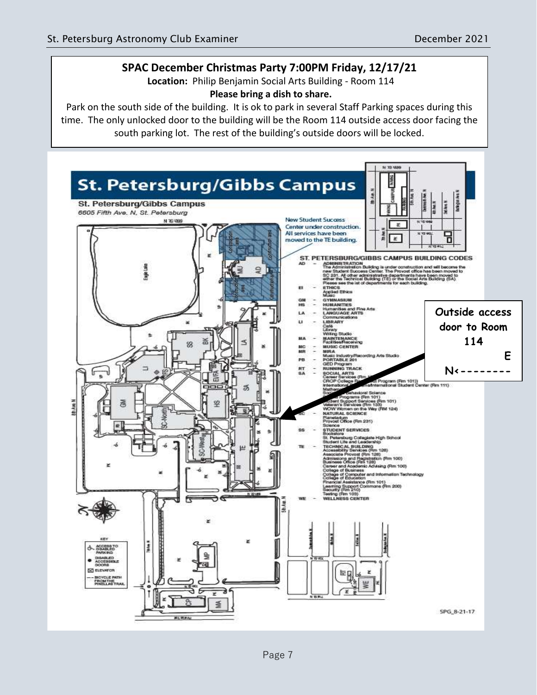### **SPAC December Christmas Party 7:00PM Friday, 12/17/21**

**Location:** Philip Benjamin Social Arts Building - Room 114 **Please bring a dish to share.** 

Park on the south side of the building. It is ok to park in several Staff Parking spaces during this time. The only unlocked door to the building will be the Room 114 outside access door facing the south parking lot. The rest of the building's outside doors will be locked.

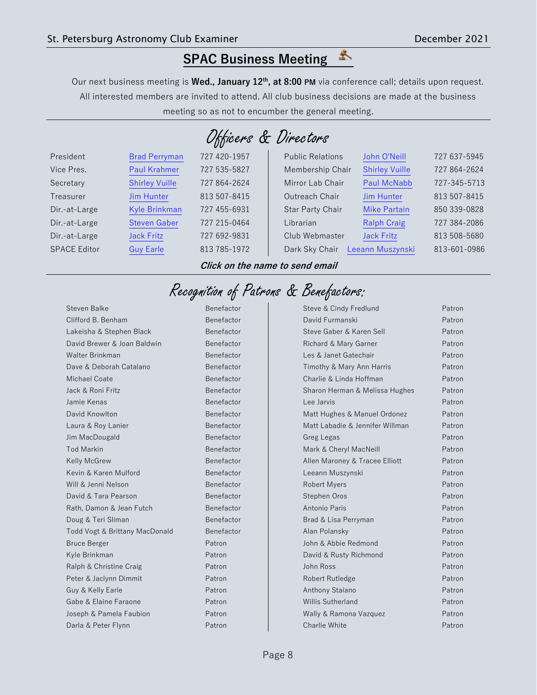# **SPAC Business Meeting**

Our next business meeting is **Wed., January 12th, at 8:00 PM** via conference call; details upon request. All interested members are invited to attend. All club business decisions are made at the business meeting so as not to encumber the general meeting.

| Officers & Directors |  |  |  |  |
|----------------------|--|--|--|--|
|----------------------|--|--|--|--|

| President           | <b>Brad Perryman</b>  | 727 420-1957 | <b>Public Relations</b> | John O'Neill          | 727 637-5945 |
|---------------------|-----------------------|--------------|-------------------------|-----------------------|--------------|
| Vice Pres.          | <b>Paul Krahmer</b>   | 727 535-5827 | Membership Chair        | <b>Shirley Vuille</b> | 727 864-2624 |
| Secretary           | <b>Shirley Vuille</b> | 727 864-2624 | Mirror Lab Chair        | <b>Paul McNabb</b>    | 727-345-5713 |
| Treasurer           | <b>Jim Hunter</b>     | 813 507-8415 | Outreach Chair          | <b>Jim Hunter</b>     | 813 507-8415 |
| Dir.-at-Large       | Kyle Brinkman         | 727 455-6931 | Star Party Chair        | <b>Mike Partain</b>   | 850 339-0828 |
| Dir.-at-Large       | <b>Steven Gaber</b>   | 727 215-0464 | Librarian               | <b>Ralph Craig</b>    | 727 384-2086 |
| Dir.-at-Large       | <b>Jack Fritz</b>     | 727 692-9831 | Club Webmaster          | <b>Jack Fritz</b>     | 813 508-5680 |
| <b>SPACE Editor</b> | <b>Guy Earle</b>      | 813 785-1972 | Dark Sky Chair          | Leeann Muszynski      | 813-601-0986 |
|                     |                       |              |                         |                       |              |

**Click on the name to send email**

# Recognition of Patrons & Benefactors:

Steven Balke Benefactor Clifford B. Benham Benefactor Lakeisha & Stephen Black Benefactor David Brewer & Joan Baldwin Benefactor Walter Brinkman Benefactor Dave & Deborah Catalano Benefactor Michael Coate **Benefactor** Benefactor Jack & Roni Fritz Benefactor Jamie Kenas Benefactor David Knowlton **Benefactor** Benefactor Laura & Roy Lanier **Benefactor** Benefactor Jim MacDougald Benefactor Tod Markin **Benefactor** Benefactor Kelly McGrew Benefactor Kevin & Karen Mulford Benefactor Will & Jenni Nelson Benefactor David & Tara Pearson Benefactor Rath, Damon & Jean Futch Benefactor Doug & Teri Sliman Benefactor Todd Vogt & Brittany MacDonald Benefactor Bruce Berger Patron Patron Kyle Brinkman Patron Patron Ralph & Christine Craig **Patron** Peter & Jaclynn Dimmit Patron Guy & Kelly Earle **Patron** Gabe & Elaine Faraone **Patron** Joseph & Pamela Faubion Patron Darla & Peter Flynn Patron

| Steve & Cindy Fredlund          | Patron |
|---------------------------------|--------|
| David Furmanski                 | Patron |
| Steve Gaber & Karen Sell        | Patron |
| Richard & Mary Garner           | Patron |
| Les & Janet Gatechair           | Patron |
| Timothy & Mary Ann Harris       | Patron |
| Charlie & Linda Hoffman         | Patron |
| Sharon Herman & Melissa Hughes  | Patron |
| Lee Jarvis                      | Patron |
| Matt Hughes & Manuel Ordonez    | Patron |
| Matt Labadie & Jennifer Willman | Patron |
| Greg Legas                      | Patron |
| Mark & Cheryl MacNeill          | Patron |
| Allen Maroney & Tracee Elliott  | Patron |
| Leeann Muszynski                | Patron |
| <b>Robert Myers</b>             | Patron |
| Stephen Oros                    | Patron |
| Antonio Paris                   | Patron |
| Brad & Lisa Perryman            | Patron |
| Alan Polansky                   | Patron |
| John & Abbie Redmond            | Patron |
| David & Rusty Richmond          | Patron |
| John Ross                       | Patron |
| Robert Rutledge                 | Patron |
| Anthony Staiano                 | Patron |
| Willis Sutherland               | Patron |
| Wally & Ramona Vazquez          | Patron |
| Charlie White                   | Patron |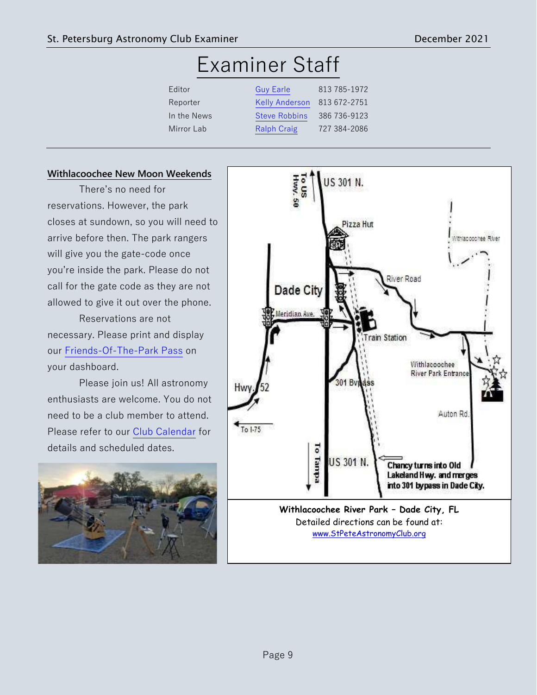# Examiner Staff

| Editor      | <b>Guy Earle</b>      | 813 785-1972 |
|-------------|-----------------------|--------------|
| Reporter    | <b>Kelly Anderson</b> | 813 672-2751 |
| In the News | <b>Steve Robbins</b>  | 386 736-9123 |
| Mirror Lab  | <b>Ralph Craig</b>    | 727 384-2086 |

### **Withlacoochee New Moon Weekends**

There's no need for reservations. However, the park closes at sundown, so you will need to arrive before then. The park rangers will give you the gate-code once you're inside the park. Please do not call for the gate code as they are not allowed to give it out over the phone.

Reservations are not necessary. Please print and display our [Friends-Of-The-Park Pass](https://www.stpeteastronomyclub.org/FriendsOfThePark.pdf?v=1534511890) on your dashboard.

Please join us! All astronomy enthusiasts are welcome. You do not need to be a club member to attend. Please refer to our [Club Calendar](http://www.stpeteastronomyclub.org/calendar.php) for details and scheduled dates.